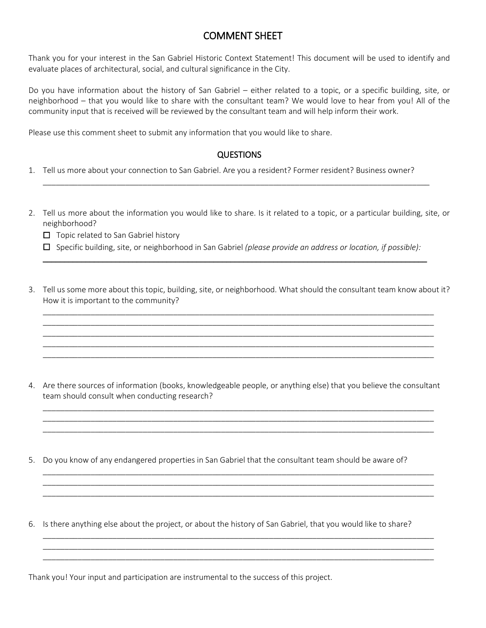# COMMENT SHEET

Thank you for your interest in the San Gabriel Historic Context Statement! This document will be used to identify and evaluate places of architectural, social, and cultural significance in the City.

Do you have information about the history of San Gabriel – either related to a topic, or a specific building, site, or neighborhood – that you would like to share with the consultant team? We would love to hear from you! All of the community input that is received will be reviewed by the consultant team and will help inform their work.

Please use this comment sheet to submit any information that you would like to share.

# **QUESTIONS**

\_\_\_\_\_\_\_\_\_\_\_\_\_\_\_\_\_\_\_\_\_\_\_\_\_\_\_\_\_\_\_\_\_\_\_\_\_\_\_\_\_\_\_\_\_\_\_\_\_\_\_\_\_\_\_\_\_\_\_\_\_\_\_\_\_\_\_\_\_\_\_\_\_\_\_\_\_\_\_\_\_\_\_\_\_\_\_\_\_

- 1. Tell us more about your connection to San Gabriel. Are you a resident? Former resident? Business owner?
- 2. Tell us more about the information you would like to share. Is it related to a topic, or a particular building, site, or neighborhood?
	- ☐ Topic related to San Gabriel history
	- ☐ Specific building, site, or neighborhood in San Gabriel *(please provide an address or location, if possible):* \_\_\_\_\_\_\_\_\_\_\_\_\_\_\_\_\_\_\_\_\_\_\_\_\_\_\_\_\_\_\_\_\_\_\_\_\_\_\_\_\_\_\_\_\_\_\_\_\_\_\_\_\_\_\_\_\_\_\_\_\_\_\_\_\_\_\_\_\_\_\_\_\_\_\_\_\_\_\_\_\_\_\_\_\_\_\_\_\_\_
- 3. Tell us some more about this topic, building, site, or neighborhood. What should the consultant team know about it? How it is important to the community?

\_\_\_\_\_\_\_\_\_\_\_\_\_\_\_\_\_\_\_\_\_\_\_\_\_\_\_\_\_\_\_\_\_\_\_\_\_\_\_\_\_\_\_\_\_\_\_\_\_\_\_\_\_\_\_\_\_\_\_\_\_\_\_\_\_\_\_\_\_\_\_\_\_\_\_\_\_\_\_\_\_\_\_\_\_\_\_\_\_\_ \_\_\_\_\_\_\_\_\_\_\_\_\_\_\_\_\_\_\_\_\_\_\_\_\_\_\_\_\_\_\_\_\_\_\_\_\_\_\_\_\_\_\_\_\_\_\_\_\_\_\_\_\_\_\_\_\_\_\_\_\_\_\_\_\_\_\_\_\_\_\_\_\_\_\_\_\_\_\_\_\_\_\_\_\_\_\_\_\_\_ \_\_\_\_\_\_\_\_\_\_\_\_\_\_\_\_\_\_\_\_\_\_\_\_\_\_\_\_\_\_\_\_\_\_\_\_\_\_\_\_\_\_\_\_\_\_\_\_\_\_\_\_\_\_\_\_\_\_\_\_\_\_\_\_\_\_\_\_\_\_\_\_\_\_\_\_\_\_\_\_\_\_\_\_\_\_\_\_\_\_ \_\_\_\_\_\_\_\_\_\_\_\_\_\_\_\_\_\_\_\_\_\_\_\_\_\_\_\_\_\_\_\_\_\_\_\_\_\_\_\_\_\_\_\_\_\_\_\_\_\_\_\_\_\_\_\_\_\_\_\_\_\_\_\_\_\_\_\_\_\_\_\_\_\_\_\_\_\_\_\_\_\_\_\_\_\_\_\_\_\_ \_\_\_\_\_\_\_\_\_\_\_\_\_\_\_\_\_\_\_\_\_\_\_\_\_\_\_\_\_\_\_\_\_\_\_\_\_\_\_\_\_\_\_\_\_\_\_\_\_\_\_\_\_\_\_\_\_\_\_\_\_\_\_\_\_\_\_\_\_\_\_\_\_\_\_\_\_\_\_\_\_\_\_\_\_\_\_\_\_\_

4. Are there sources of information (books, knowledgeable people, or anything else) that you believe the consultant team should consult when conducting research?

\_\_\_\_\_\_\_\_\_\_\_\_\_\_\_\_\_\_\_\_\_\_\_\_\_\_\_\_\_\_\_\_\_\_\_\_\_\_\_\_\_\_\_\_\_\_\_\_\_\_\_\_\_\_\_\_\_\_\_\_\_\_\_\_\_\_\_\_\_\_\_\_\_\_\_\_\_\_\_\_\_\_\_\_\_\_\_\_\_\_ \_\_\_\_\_\_\_\_\_\_\_\_\_\_\_\_\_\_\_\_\_\_\_\_\_\_\_\_\_\_\_\_\_\_\_\_\_\_\_\_\_\_\_\_\_\_\_\_\_\_\_\_\_\_\_\_\_\_\_\_\_\_\_\_\_\_\_\_\_\_\_\_\_\_\_\_\_\_\_\_\_\_\_\_\_\_\_\_\_\_ \_\_\_\_\_\_\_\_\_\_\_\_\_\_\_\_\_\_\_\_\_\_\_\_\_\_\_\_\_\_\_\_\_\_\_\_\_\_\_\_\_\_\_\_\_\_\_\_\_\_\_\_\_\_\_\_\_\_\_\_\_\_\_\_\_\_\_\_\_\_\_\_\_\_\_\_\_\_\_\_\_\_\_\_\_\_\_\_\_\_

\_\_\_\_\_\_\_\_\_\_\_\_\_\_\_\_\_\_\_\_\_\_\_\_\_\_\_\_\_\_\_\_\_\_\_\_\_\_\_\_\_\_\_\_\_\_\_\_\_\_\_\_\_\_\_\_\_\_\_\_\_\_\_\_\_\_\_\_\_\_\_\_\_\_\_\_\_\_\_\_\_\_\_\_\_\_\_\_\_\_ \_\_\_\_\_\_\_\_\_\_\_\_\_\_\_\_\_\_\_\_\_\_\_\_\_\_\_\_\_\_\_\_\_\_\_\_\_\_\_\_\_\_\_\_\_\_\_\_\_\_\_\_\_\_\_\_\_\_\_\_\_\_\_\_\_\_\_\_\_\_\_\_\_\_\_\_\_\_\_\_\_\_\_\_\_\_\_\_\_\_ \_\_\_\_\_\_\_\_\_\_\_\_\_\_\_\_\_\_\_\_\_\_\_\_\_\_\_\_\_\_\_\_\_\_\_\_\_\_\_\_\_\_\_\_\_\_\_\_\_\_\_\_\_\_\_\_\_\_\_\_\_\_\_\_\_\_\_\_\_\_\_\_\_\_\_\_\_\_\_\_\_\_\_\_\_\_\_\_\_\_

\_\_\_\_\_\_\_\_\_\_\_\_\_\_\_\_\_\_\_\_\_\_\_\_\_\_\_\_\_\_\_\_\_\_\_\_\_\_\_\_\_\_\_\_\_\_\_\_\_\_\_\_\_\_\_\_\_\_\_\_\_\_\_\_\_\_\_\_\_\_\_\_\_\_\_\_\_\_\_\_\_\_\_\_\_\_\_\_\_\_ \_\_\_\_\_\_\_\_\_\_\_\_\_\_\_\_\_\_\_\_\_\_\_\_\_\_\_\_\_\_\_\_\_\_\_\_\_\_\_\_\_\_\_\_\_\_\_\_\_\_\_\_\_\_\_\_\_\_\_\_\_\_\_\_\_\_\_\_\_\_\_\_\_\_\_\_\_\_\_\_\_\_\_\_\_\_\_\_\_\_ \_\_\_\_\_\_\_\_\_\_\_\_\_\_\_\_\_\_\_\_\_\_\_\_\_\_\_\_\_\_\_\_\_\_\_\_\_\_\_\_\_\_\_\_\_\_\_\_\_\_\_\_\_\_\_\_\_\_\_\_\_\_\_\_\_\_\_\_\_\_\_\_\_\_\_\_\_\_\_\_\_\_\_\_\_\_\_\_\_\_

- 5. Do you know of any endangered properties in San Gabriel that the consultant team should be aware of?
- 6. Is there anything else about the project, or about the history of San Gabriel, that you would like to share?

Thank you! Your input and participation are instrumental to the success of this project.